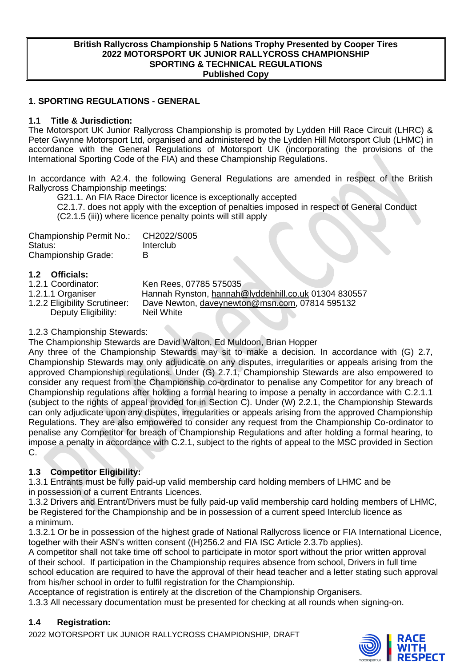#### **British Rallycross Championship 5 Nations Trophy Presented by Cooper Tires 2022 MOTORSPORT UK JUNIOR RALLYCROSS CHAMPIONSHIP SPORTING & TECHNICAL REGULATIONS Published Copy**

## **1. SPORTING REGULATIONS - GENERAL**

## **1.1 Title & Jurisdiction:**

The Motorsport UK Junior Rallycross Championship is promoted by Lydden Hill Race Circuit (LHRC) & Peter Gwynne Motorsport Ltd, organised and administered by the Lydden Hill Motorsport Club (LHMC) in accordance with the General Regulations of Motorsport UK (incorporating the provisions of the International Sporting Code of the FIA) and these Championship Regulations.

In accordance with A2.4. the following General Regulations are amended in respect of the British Rallycross Championship meetings:

G21.1. An FIA Race Director licence is exceptionally accepted

C2.1.7. does not apply with the exception of penalties imposed in respect of General Conduct (C2.1.5 (iii)) where licence penalty points will still apply

| Championship Permit No.:   | CH2022/S005 |
|----------------------------|-------------|
| Status:                    | Interclub   |
| <b>Championship Grade:</b> | R           |

# **1.2 Officials:**

Ken Rees, 07785 575035

1.2.1.1 Organiser Hannah Rynston, [hannah@lyddenhill.co.uk](mailto:hannah@lyddenhill.co.uk) 01304 830557<br>1.2.2 Eligibility Scrutineer: Dave Newton, daveynewton@msn.com, 07814 595132 Dave Newton, [daveynewton@msn.com,](mailto:daveynewton@msn.com) 07814 595132<br>Neil White Deputy Eligibility:

#### 1.2.3 Championship Stewards:

The Championship Stewards are David Walton, Ed Muldoon, Brian Hopper

Any three of the Championship Stewards may sit to make a decision. In accordance with (G) 2.7, Championship Stewards may only adjudicate on any disputes, irregularities or appeals arising from the approved Championship regulations. Under (G) 2.7.1, Championship Stewards are also empowered to consider any request from the Championship co-ordinator to penalise any Competitor for any breach of Championship regulations after holding a formal hearing to impose a penalty in accordance with C.2.1.1 (subject to the rights of appeal provided for in Section C). Under (W) 2.2.1, the Championship Stewards can only adjudicate upon any disputes, irregularities or appeals arising from the approved Championship Regulations. They are also empowered to consider any request from the Championship Co-ordinator to penalise any Competitor for breach of Championship Regulations and after holding a formal hearing, to impose a penalty in accordance with C.2.1, subject to the rights of appeal to the MSC provided in Section C.

## **1.3 Competitor Eligibility:**

1.3.1 Entrants must be fully paid-up valid membership card holding members of LHMC and be in possession of a current Entrants Licences.

1.3.2 Drivers and Entrant/Drivers must be fully paid-up valid membership card holding members of LHMC, be Registered for the Championship and be in possession of a current speed Interclub licence as a minimum.

1.3.2.1 Or be in possession of the highest grade of National Rallycross licence or FIA International Licence, together with their ASN's written consent ((H)256.2 and FIA ISC Article 2.3.7b applies).

A competitor shall not take time off school to participate in motor sport without the prior written approval of their school. If participation in the Championship requires absence from school, Drivers in full time school education are required to have the approval of their head teacher and a letter stating such approval from his/her school in order to fulfil registration for the Championship.

Acceptance of registration is entirely at the discretion of the Championship Organisers.

1.3.3 All necessary documentation must be presented for checking at all rounds when signing-on.

## **1.4 Registration:**

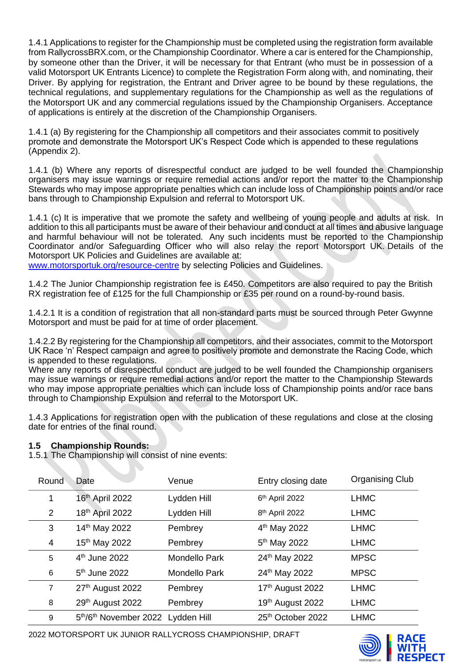1.4.1 Applications to register for the Championship must be completed using the registration form available from RallycrossBRX.com, or the Championship Coordinator. Where a car is entered for the Championship, by someone other than the Driver, it will be necessary for that Entrant (who must be in possession of a valid Motorsport UK Entrants Licence) to complete the Registration Form along with, and nominating, their Driver. By applying for registration, the Entrant and Driver agree to be bound by these regulations, the technical regulations, and supplementary regulations for the Championship as well as the regulations of the Motorsport UK and any commercial regulations issued by the Championship Organisers. Acceptance of applications is entirely at the discretion of the Championship Organisers.

1.4.1 (a) By registering for the Championship all competitors and their associates commit to positively promote and demonstrate the Motorsport UK's Respect Code which is appended to these regulations (Appendix 2).

1.4.1 (b) Where any reports of disrespectful conduct are judged to be well founded the Championship organisers may issue warnings or require remedial actions and/or report the matter to the Championship Stewards who may impose appropriate penalties which can include loss of Championship points and/or race bans through to Championship Expulsion and referral to Motorsport UK.

1.4.1 (c) It is imperative that we promote the safety and wellbeing of young people and adults at risk. In addition to this all participants must be aware of their behaviour and conduct at all times and abusive language and harmful behaviour will not be tolerated. Any such incidents must be reported to the Championship Coordinator and/or Safeguarding Officer who will also relay the report Motorsport UK. Details of the Motorsport UK Policies and Guidelines are available at:

[www.motorsportuk.org/resource-centre](http://www.motorsportuk.org/resource-centre) by selecting Policies and Guidelines.

1.4.2 The Junior Championship registration fee is £450. Competitors are also required to pay the British RX registration fee of £125 for the full Championship or £35 per round on a round-by-round basis.

1.4.2.1 It is a condition of registration that all non-standard parts must be sourced through Peter Gwynne Motorsport and must be paid for at time of order placement.

1.4.2.2 By registering for the Championship all competitors, and their associates, commit to the Motorsport UK Race 'n' Respect campaign and agree to positively promote and demonstrate the Racing Code, which is appended to these regulations.

Where any reports of disrespectful conduct are judged to be well founded the Championship organisers may issue warnings or require remedial actions and/or report the matter to the Championship Stewards who may impose appropriate penalties which can include loss of Championship points and/or race bans through to Championship Expulsion and referral to the Motorsport UK.

1.4.3 Applications for registration open with the publication of these regulations and close at the closing date for entries of the final round.

## **1.5 Championship Rounds:**

1.5.1 The Championship will consist of nine events:

| Round                   | Date                              | Venue                | Entry closing date         | <b>Organising Club</b> |
|-------------------------|-----------------------------------|----------------------|----------------------------|------------------------|
| 1                       | 16th April 2022                   | Lydden Hill          | 6th April 2022             | <b>LHMC</b>            |
| $\overline{2}$          | 18th April 2022                   | Lydden Hill          | 8 <sup>th</sup> April 2022 | <b>LHMC</b>            |
| 3                       | 14th May 2022                     | Pembrey              | 4 <sup>th</sup> May 2022   | <b>LHMC</b>            |
| $\overline{\mathbf{4}}$ | 15 <sup>th</sup> May 2022         | Pembrey              | 5 <sup>th</sup> May 2022   | <b>LHMC</b>            |
| 5                       | 4 <sup>th</sup> June 2022         | <b>Mondello Park</b> | 24th May 2022              | <b>MPSC</b>            |
| 6                       | $5th$ June 2022                   | <b>Mondello Park</b> | 24th May 2022              | <b>MPSC</b>            |
| 7                       | 27th August 2022                  | Pembrey              | 17th August 2022           | <b>LHMC</b>            |
| 8                       | 29th August 2022                  | Pembrey              | 19th August 2022           | <b>LHMC</b>            |
| 9                       | 5th/6th November 2022 Lydden Hill |                      | 25th October 2022          | <b>LHMC</b>            |



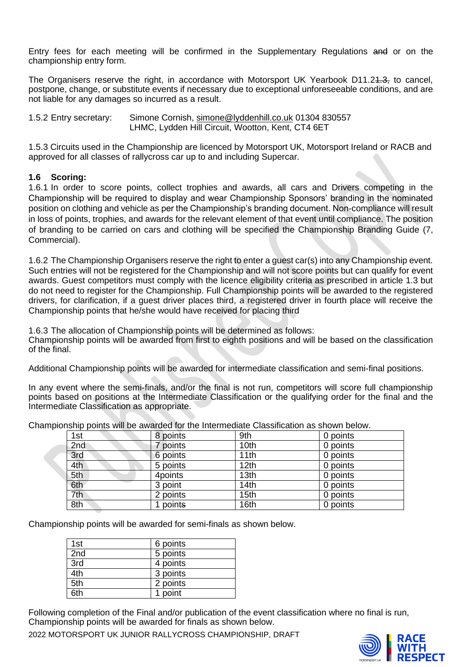Entry fees for each meeting will be confirmed in the Supplementary Regulations and or on the championship entry form.

The Organisers reserve the right, in accordance with Motorsport UK Yearbook D11.2<del>1.3,</del> to cancel, postpone, change, or substitute events if necessary due to exceptional unforeseeable conditions, and are not liable for any damages so incurred as a result.

1.5.2 Entry secretary: Simone Cornish, [simone@lyddenhill.co.uk](mailto:simone@lyddenhill.co.uk) 01304 830557 LHMC, Lydden Hill Circuit, Wootton, Kent, CT4 6ET

1.5.3 Circuits used in the Championship are licenced by Motorsport UK, Motorsport Ireland or RACB and approved for all classes of rallycross car up to and including Supercar.

#### **1.6 Scoring:**

1.6.1 In order to score points, collect trophies and awards, all cars and Drivers competing in the Championship will be required to display and wear Championship Sponsors' branding in the nominated position on clothing and vehicle as per the Championship's branding document. Non-compliance will result in loss of points, trophies, and awards for the relevant element of that event until compliance. The position of branding to be carried on cars and clothing will be specified the Championship Branding Guide (7, Commercial).

1.6.2 The Championship Organisers reserve the right to enter a guest car(s) into any Championship event. Such entries will not be registered for the Championship and will not score points but can qualify for event awards. Guest competitors must comply with the licence eligibility criteria as prescribed in article 1.3 but do not need to register for the Championship. Full Championship points will be awarded to the registered drivers, for clarification, if a guest driver places third, a registered driver in fourth place will receive the Championship points that he/she would have received for placing third

1.6.3 The allocation of Championship points will be determined as follows: Championship points will be awarded from first to eighth positions and will be based on the classification of the final.

Additional Championship points will be awarded for intermediate classification and semi-final positions.

In any event where the semi-finals, and/or the final is not run, competitors will score full championship points based on positions at the Intermediate Classification or the qualifying order for the final and the Intermediate Classification as appropriate.

| 1st | 8 points | 9th              | 0 points |
|-----|----------|------------------|----------|
| 2nd | 7 points | 10 <sub>th</sub> | 0 points |
| 3rd | 6 points | 11th             | 0 points |
| 4th | 5 points | 12 <sub>th</sub> | 0 points |
| 5th | 4points  | 13 <sub>th</sub> | 0 points |
| 6th | 3 point  | 14th             | 0 points |
| 7th | 2 points | 15 <sub>th</sub> | 0 points |
| 8th | 1 points | 16th             | 0 points |

Championship points will be awarded for the Intermediate Classification as shown below.

Championship points will be awarded for semi-finals as shown below.

| 1st | 6 points |
|-----|----------|
| 2nd | 5 points |
| 3rd | 4 points |
| 4th | 3 points |
| 5th | 2 points |
| 6th | 1 point  |

Following completion of the Final and/or publication of the event classification where no final is run, Championship points will be awarded for finals as shown below.

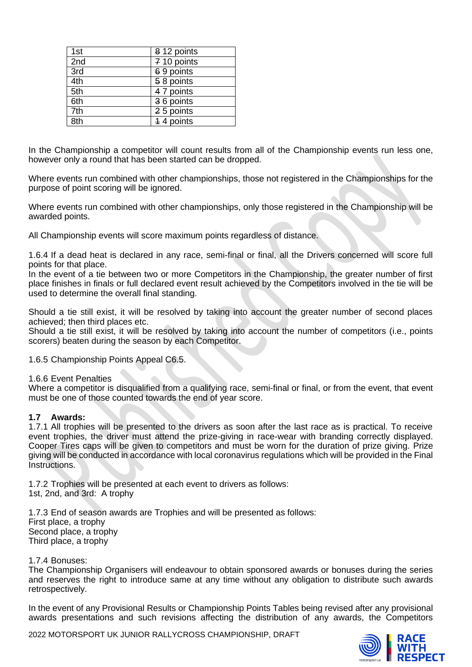| 1st | 8 12 points |
|-----|-------------|
| 2nd | 7 10 points |
| 3rd | 69 points   |
| 4th | 58 points   |
| 5th | 4 7 points  |
| 6th | 36 points   |
| 7th | 25 points   |
| 8th | 4 4 points  |

In the Championship a competitor will count results from all of the Championship events run less one, however only a round that has been started can be dropped.

Where events run combined with other championships, those not registered in the Championships for the purpose of point scoring will be ignored.

Where events run combined with other championships, only those registered in the Championship will be awarded points.

All Championship events will score maximum points regardless of distance.

1.6.4 If a dead heat is declared in any race, semi-final or final, all the Drivers concerned will score full points for that place.

In the event of a tie between two or more Competitors in the Championship, the greater number of first place finishes in finals or full declared event result achieved by the Competitors involved in the tie will be used to determine the overall final standing.

Should a tie still exist, it will be resolved by taking into account the greater number of second places achieved; then third places etc.

Should a tie still exist, it will be resolved by taking into account the number of competitors (i.e., points scorers) beaten during the season by each Competitor.

1.6.5 Championship Points Appeal C6.5.

#### 1.6.6 Event Penalties

Where a competitor is disqualified from a qualifying race, semi-final or final, or from the event, that event must be one of those counted towards the end of year score.

#### **1.7 Awards:**

1.7.1 All trophies will be presented to the drivers as soon after the last race as is practical. To receive event trophies, the driver must attend the prize-giving in race-wear with branding correctly displayed. Cooper Tires caps will be given to competitors and must be worn for the duration of prize giving. Prize giving will be conducted in accordance with local coronavirus regulations which will be provided in the Final Instructions.

1.7.2 Trophies will be presented at each event to drivers as follows: 1st, 2nd, and 3rd: A trophy

1.7.3 End of season awards are Trophies and will be presented as follows: First place, a trophy Second place, a trophy Third place, a trophy

#### 1.7.4 Bonuses:

The Championship Organisers will endeavour to obtain sponsored awards or bonuses during the series and reserves the right to introduce same at any time without any obligation to distribute such awards retrospectively.

In the event of any Provisional Results or Championship Points Tables being revised after any provisional awards presentations and such revisions affecting the distribution of any awards, the Competitors

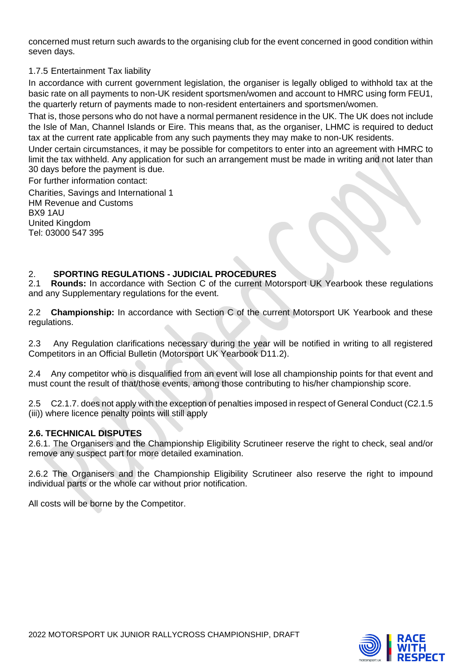concerned must return such awards to the organising club for the event concerned in good condition within seven days.

## 1.7.5 Entertainment Tax liability

In accordance with current government legislation, the organiser is legally obliged to withhold tax at the basic rate on all payments to non-UK resident sportsmen/women and account to HMRC using form FEU1, the quarterly return of payments made to non-resident entertainers and sportsmen/women.

That is, those persons who do not have a normal permanent residence in the UK. The UK does not include the Isle of Man, Channel Islands or Eire. This means that, as the organiser, LHMC is required to deduct tax at the current rate applicable from any such payments they may make to non-UK residents.

Under certain circumstances, it may be possible for competitors to enter into an agreement with HMRC to limit the tax withheld. Any application for such an arrangement must be made in writing and not later than 30 days before the payment is due.

For further information contact:

Charities, Savings and International 1 HM Revenue and Customs BX9 1AU United Kingdom Tel: 03000 547 395

## 2. **SPORTING REGULATIONS - JUDICIAL PROCEDURES**

2.1 **Rounds:** In accordance with Section C of the current Motorsport UK Yearbook these regulations and any Supplementary regulations for the event.

2.2 **Championship:** In accordance with Section C of the current Motorsport UK Yearbook and these regulations.

2.3 Any Regulation clarifications necessary during the year will be notified in writing to all registered Competitors in an Official Bulletin (Motorsport UK Yearbook D11.2).

2.4 Any competitor who is disqualified from an event will lose all championship points for that event and must count the result of that/those events, among those contributing to his/her championship score.

2.5 C2.1.7. does not apply with the exception of penalties imposed in respect of General Conduct (C2.1.5 (iii)) where licence penalty points will still apply

#### **2.6. TECHNICAL DISPUTES**

2.6.1. The Organisers and the Championship Eligibility Scrutineer reserve the right to check, seal and/or remove any suspect part for more detailed examination.

2.6.2 The Organisers and the Championship Eligibility Scrutineer also reserve the right to impound individual parts or the whole car without prior notification.

All costs will be borne by the Competitor.

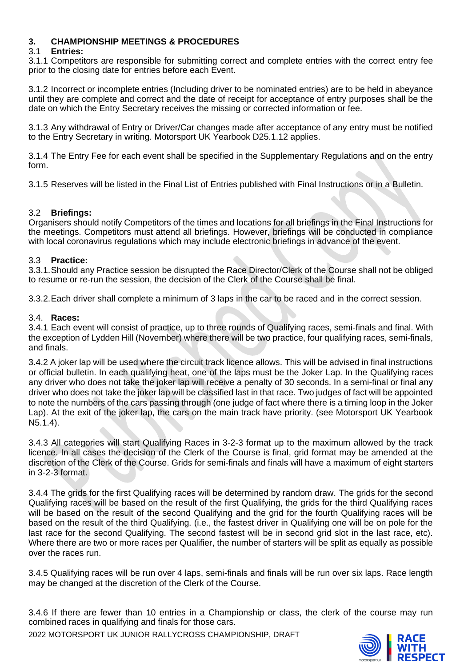## **3. CHAMPIONSHIP MEETINGS & PROCEDURES**

## 3.1 **Entries:**

3.1.1 Competitors are responsible for submitting correct and complete entries with the correct entry fee prior to the closing date for entries before each Event.

3.1.2 Incorrect or incomplete entries (Including driver to be nominated entries) are to be held in abeyance until they are complete and correct and the date of receipt for acceptance of entry purposes shall be the date on which the Entry Secretary receives the missing or corrected information or fee.

3.1.3 Any withdrawal of Entry or Driver/Car changes made after acceptance of any entry must be notified to the Entry Secretary in writing. Motorsport UK Yearbook D25.1.12 applies.

3.1.4 The Entry Fee for each event shall be specified in the Supplementary Regulations and on the entry form.

3.1.5 Reserves will be listed in the Final List of Entries published with Final Instructions or in a Bulletin.

## 3.2 **Briefings:**

Organisers should notify Competitors of the times and locations for all briefings in the Final Instructions for the meetings. Competitors must attend all briefings. However, briefings will be conducted in compliance with local coronavirus regulations which may include electronic briefings in advance of the event.

## 3.3 **Practice:**

3.3.1.Should any Practice session be disrupted the Race Director/Clerk of the Course shall not be obliged to resume or re-run the session, the decision of the Clerk of the Course shall be final.

3.3.2.Each driver shall complete a minimum of 3 laps in the car to be raced and in the correct session.

#### 3.4. **Races:**

3.4.1 Each event will consist of practice, up to three rounds of Qualifying races, semi-finals and final. With the exception of Lydden Hill (November) where there will be two practice, four qualifying races, semi-finals, and finals.

3.4.2 A joker lap will be used where the circuit track licence allows. This will be advised in final instructions or official bulletin. In each qualifying heat, one of the laps must be the Joker Lap. In the Qualifying races any driver who does not take the joker lap will receive a penalty of 30 seconds. In a semi-final or final any driver who does not take the joker lap will be classified last in that race. Two judges of fact will be appointed to note the numbers of the cars passing through (one judge of fact where there is a timing loop in the Joker Lap). At the exit of the joker lap, the cars on the main track have priority. (see Motorsport UK Yearbook N5.1.4).

3.4.3 All categories will start Qualifying Races in 3-2-3 format up to the maximum allowed by the track licence. In all cases the decision of the Clerk of the Course is final, grid format may be amended at the discretion of the Clerk of the Course. Grids for semi-finals and finals will have a maximum of eight starters in 3-2-3 format.

3.4.4 The grids for the first Qualifying races will be determined by random draw. The grids for the second Qualifying races will be based on the result of the first Qualifying, the grids for the third Qualifying races will be based on the result of the second Qualifying and the grid for the fourth Qualifying races will be based on the result of the third Qualifying. (i.e., the fastest driver in Qualifying one will be on pole for the last race for the second Qualifying. The second fastest will be in second grid slot in the last race, etc). Where there are two or more races per Qualifier, the number of starters will be split as equally as possible over the races run.

3.4.5 Qualifying races will be run over 4 laps, semi-finals and finals will be run over six laps. Race length may be changed at the discretion of the Clerk of the Course.

3.4.6 If there are fewer than 10 entries in a Championship or class, the clerk of the course may run combined races in qualifying and finals for those cars.

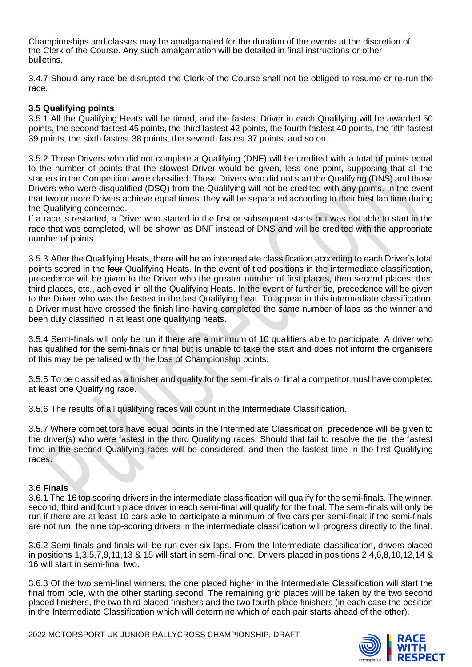Championships and classes may be amalgamated for the duration of the events at the discretion of the Clerk of the Course. Any such amalgamation will be detailed in final instructions or other bulletins.

3.4.7 Should any race be disrupted the Clerk of the Course shall not be obliged to resume or re-run the race.

## **3.5 Qualifying points**

3.5.1 All the Qualifying Heats will be timed, and the fastest Driver in each Qualifying will be awarded 50 points, the second fastest 45 points, the third fastest 42 points, the fourth fastest 40 points, the fifth fastest 39 points, the sixth fastest 38 points, the seventh fastest 37 points, and so on.

3.5.2 Those Drivers who did not complete a Qualifying (DNF) will be credited with a total of points equal to the number of points that the slowest Driver would be given, less one point, supposing that all the starters in the Competition were classified. Those Drivers who did not start the Qualifying (DNS) and those Drivers who were disqualified (DSQ) from the Qualifying will not be credited with any points. In the event that two or more Drivers achieve equal times, they will be separated according to their best lap time during the Qualifying concerned.

If a race is restarted, a Driver who started in the first or subsequent starts but was not able to start in the race that was completed, will be shown as DNF instead of DNS and will be credited with the appropriate number of points.

3.5.3 After the Qualifying Heats, there will be an intermediate classification according to each Driver's total points scored in the four Qualifying Heats. In the event of tied positions in the intermediate classification, precedence will be given to the Driver who the greater number of first places, then second places, then third places, etc., achieved in all the Qualifying Heats. In the event of further tie, precedence will be given to the Driver who was the fastest in the last Qualifying heat. To appear in this intermediate classification, a Driver must have crossed the finish line having completed the same number of laps as the winner and been duly classified in at least one qualifying heats.

3.5.4 Semi-finals will only be run if there are a minimum of 10 qualifiers able to participate. A driver who has qualified for the semi-finals or final but is unable to take the start and does not inform the organisers of this may be penalised with the loss of Championship points.

3.5.5 To be classified as a finisher and qualify for the semi-finals or final a competitor must have completed at least one Qualifying race.

3.5.6 The results of all qualifying races will count in the Intermediate Classification.

3.5.7 Where competitors have equal points in the Intermediate Classification, precedence will be given to the driver(s) who were fastest in the third Qualifying races. Should that fail to resolve the tie, the fastest time in the second Qualifying races will be considered, and then the fastest time in the first Qualifying races.

#### 3.6 **Finals**

3.6.1 The 16 top scoring drivers in the intermediate classification will qualify for the semi-finals. The winner, second, third and fourth place driver in each semi-final will qualify for the final. The semi-finals will only be run if there are at least 10 cars able to participate a minimum of five cars per semi-final; if the semi-finals are not run, the nine top-scoring drivers in the intermediate classification will progress directly to the final.

3.6.2 Semi-finals and finals will be run over six laps. From the Intermediate classification, drivers placed in positions 1,3,5,7,9,11,13 & 15 will start in semi-final one. Drivers placed in positions 2,4,6,8,10,12,14 & 16 will start in semi-final two.

3.6.3 Of the two semi-final winners, the one placed higher in the Intermediate Classification will start the final from pole, with the other starting second. The remaining grid places will be taken by the two second placed finishers, the two third placed finishers and the two fourth place finishers (in each case the position in the Intermediate Classification which will determine which of each pair starts ahead of the other).

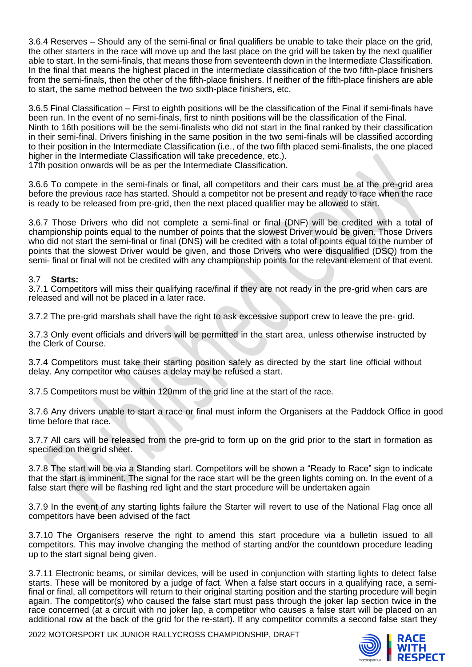3.6.4 Reserves – Should any of the semi-final or final qualifiers be unable to take their place on the grid, the other starters in the race will move up and the last place on the grid will be taken by the next qualifier able to start. In the semi-finals, that means those from seventeenth down in the Intermediate Classification. In the final that means the highest placed in the intermediate classification of the two fifth-place finishers from the semi-finals, then the other of the fifth-place finishers. If neither of the fifth-place finishers are able to start, the same method between the two sixth-place finishers, etc.

3.6.5 Final Classification – First to eighth positions will be the classification of the Final if semi-finals have been run. In the event of no semi-finals, first to ninth positions will be the classification of the Final. Ninth to 16th positions will be the semi-finalists who did not start in the final ranked by their classification in their semi-final. Drivers finishing in the same position in the two semi-finals will be classified according to their position in the Intermediate Classification (i.e., of the two fifth placed semi-finalists, the one placed higher in the Intermediate Classification will take precedence, etc.).

17th position onwards will be as per the Intermediate Classification.

3.6.6 To compete in the semi-finals or final, all competitors and their cars must be at the pre-grid area before the previous race has started. Should a competitor not be present and ready to race when the race is ready to be released from pre-grid, then the next placed qualifier may be allowed to start.

3.6.7 Those Drivers who did not complete a semi-final or final (DNF) will be credited with a total of championship points equal to the number of points that the slowest Driver would be given. Those Drivers who did not start the semi-final or final (DNS) will be credited with a total of points equal to the number of points that the slowest Driver would be given, and those Drivers who were disqualified (DSQ) from the semi- final or final will not be credited with any championship points for the relevant element of that event.

## 3.7 **Starts:**

3.7.1 Competitors will miss their qualifying race/final if they are not ready in the pre-grid when cars are released and will not be placed in a later race.

3.7.2 The pre-grid marshals shall have the right to ask excessive support crew to leave the pre- grid.

3.7.3 Only event officials and drivers will be permitted in the start area, unless otherwise instructed by the Clerk of Course.

3.7.4 Competitors must take their starting position safely as directed by the start line official without delay. Any competitor who causes a delay may be refused a start.

3.7.5 Competitors must be within 120mm of the grid line at the start of the race.

3.7.6 Any drivers unable to start a race or final must inform the Organisers at the Paddock Office in good time before that race.

3.7.7 All cars will be released from the pre-grid to form up on the grid prior to the start in formation as specified on the grid sheet.

3.7.8 The start will be via a Standing start. Competitors will be shown a "Ready to Race" sign to indicate that the start is imminent. The signal for the race start will be the green lights coming on. In the event of a false start there will be flashing red light and the start procedure will be undertaken again

3.7.9 In the event of any starting lights failure the Starter will revert to use of the National Flag once all competitors have been advised of the fact

3.7.10 The Organisers reserve the right to amend this start procedure via a bulletin issued to all competitors. This may involve changing the method of starting and/or the countdown procedure leading up to the start signal being given.

3.7.11 Electronic beams, or similar devices, will be used in conjunction with starting lights to detect false starts. These will be monitored by a judge of fact. When a false start occurs in a qualifying race, a semifinal or final, all competitors will return to their original starting position and the starting procedure will begin again. The competitor(s) who caused the false start must pass through the joker lap section twice in the race concerned (at a circuit with no joker lap, a competitor who causes a false start will be placed on an additional row at the back of the grid for the re-start). If any competitor commits a second false start they

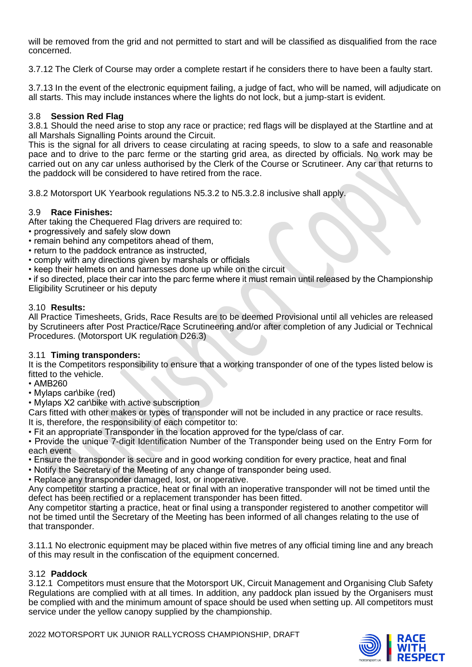will be removed from the grid and not permitted to start and will be classified as disqualified from the race concerned.

3.7.12 The Clerk of Course may order a complete restart if he considers there to have been a faulty start.

3.7.13 In the event of the electronic equipment failing, a judge of fact, who will be named, will adjudicate on all starts. This may include instances where the lights do not lock, but a jump-start is evident.

## 3.8 **Session Red Flag**

3.8.1 Should the need arise to stop any race or practice; red flags will be displayed at the Startline and at all Marshals Signalling Points around the Circuit.

This is the signal for all drivers to cease circulating at racing speeds, to slow to a safe and reasonable pace and to drive to the parc ferme or the starting grid area, as directed by officials. No work may be carried out on any car unless authorised by the Clerk of the Course or Scrutineer. Any car that returns to the paddock will be considered to have retired from the race.

3.8.2 Motorsport UK Yearbook regulations N5.3.2 to N5.3.2.8 inclusive shall apply.

## 3.9 **Race Finishes:**

After taking the Chequered Flag drivers are required to:

• progressively and safely slow down

• remain behind any competitors ahead of them,

- return to the paddock entrance as instructed,
- comply with any directions given by marshals or officials
- keep their helmets on and harnesses done up while on the circuit

• if so directed, place their car into the parc ferme where it must remain until released by the Championship Eligibility Scrutineer or his deputy

#### 3.10 **Results:**

All Practice Timesheets, Grids, Race Results are to be deemed Provisional until all vehicles are released by Scrutineers after Post Practice/Race Scrutineering and/or after completion of any Judicial or Technical Procedures. (Motorsport UK regulation D26.3)

## 3.11 **Timing transponders:**

It is the Competitors responsibility to ensure that a working transponder of one of the types listed below is fitted to the vehicle.

- AMB260
- Mylaps car\bike (red)

• Mylaps X2 car\bike with active subscription

Cars fitted with other makes or types of transponder will not be included in any practice or race results. It is, therefore, the responsibility of each competitor to:

• Fit an appropriate Transponder in the location approved for the type/class of car.

• Provide the unique 7-digit Identification Number of the Transponder being used on the Entry Form for each event

- Ensure the transponder is secure and in good working condition for every practice, heat and final
- Notify the Secretary of the Meeting of any change of transponder being used.
- Replace any transponder damaged, lost, or inoperative.

Any competitor starting a practice, heat or final with an inoperative transponder will not be timed until the defect has been rectified or a replacement transponder has been fitted.

Any competitor starting a practice, heat or final using a transponder registered to another competitor will not be timed until the Secretary of the Meeting has been informed of all changes relating to the use of that transponder.

3.11.1 No electronic equipment may be placed within five metres of any official timing line and any breach of this may result in the confiscation of the equipment concerned.

## 3.12 **Paddock**

3.12.1 Competitors must ensure that the Motorsport UK, Circuit Management and Organising Club Safety Regulations are complied with at all times. In addition, any paddock plan issued by the Organisers must be complied with and the minimum amount of space should be used when setting up. All competitors must service under the yellow canopy supplied by the championship.

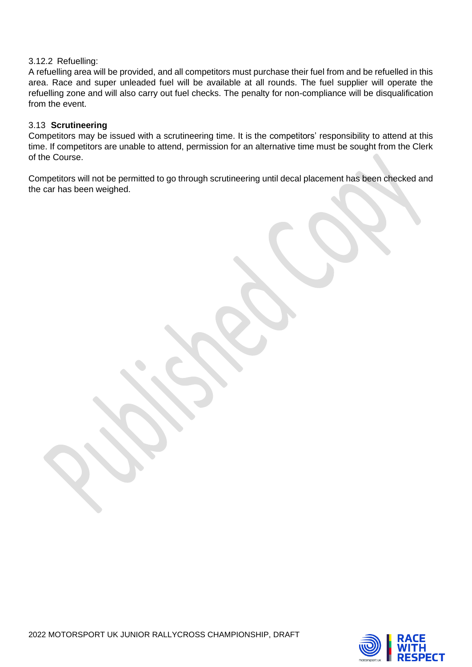## 3.12.2 Refuelling:

A refuelling area will be provided, and all competitors must purchase their fuel from and be refuelled in this area. Race and super unleaded fuel will be available at all rounds. The fuel supplier will operate the refuelling zone and will also carry out fuel checks. The penalty for non-compliance will be disqualification from the event.

## 3.13 **Scrutineering**

Competitors may be issued with a scrutineering time. It is the competitors' responsibility to attend at this time. If competitors are unable to attend, permission for an alternative time must be sought from the Clerk of the Course.

Competitors will not be permitted to go through scrutineering until decal placement has been checked and the car has been weighed.



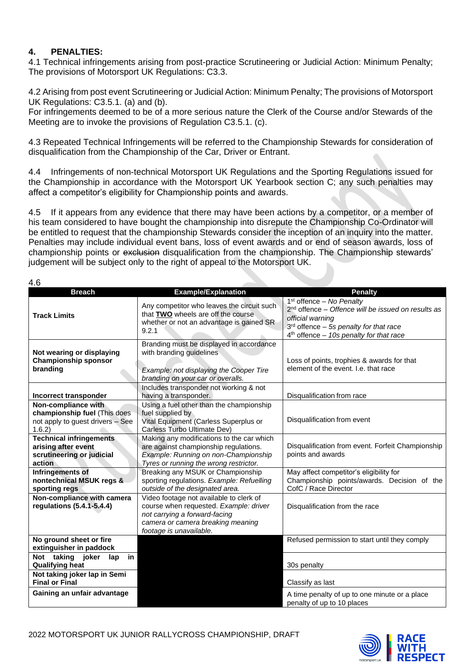## **4. PENALTIES:**

4.1 Technical infringements arising from post-practice Scrutineering or Judicial Action: Minimum Penalty; The provisions of Motorsport UK Regulations: C3.3.

4.2 Arising from post event Scrutineering or Judicial Action: Minimum Penalty; The provisions of Motorsport UK Regulations: C3.5.1. (a) and (b).

For infringements deemed to be of a more serious nature the Clerk of the Course and/or Stewards of the Meeting are to invoke the provisions of Regulation C3.5.1. (c).

4.3 Repeated Technical Infringements will be referred to the Championship Stewards for consideration of disqualification from the Championship of the Car, Driver or Entrant.

4.4 Infringements of non-technical Motorsport UK Regulations and the Sporting Regulations issued for the Championship in accordance with the Motorsport UK Yearbook section C; any such penalties may affect a competitor's eligibility for Championship points and awards.

4.5 If it appears from any evidence that there may have been actions by a competitor, or a member of his team considered to have bought the championship into disrepute the Championship Co-Ordinator will be entitled to request that the championship Stewards consider the inception of an inquiry into the matter. Penalties may include individual event bans, loss of event awards and or end of season awards, loss of championship points or exclusion disqualification from the championship. The Championship stewards' judgement will be subject only to the right of appeal to the Motorsport UK.

| I<br>w<br>۰, |
|--------------|
|--------------|

| <b>Breach</b>                                                                                                       | <b>Example/Explanation</b>                                                                                                                                                         | <b>Penalty</b>                                                                                                                                                                                              |
|---------------------------------------------------------------------------------------------------------------------|------------------------------------------------------------------------------------------------------------------------------------------------------------------------------------|-------------------------------------------------------------------------------------------------------------------------------------------------------------------------------------------------------------|
| <b>Track Limits</b>                                                                                                 | Any competitor who leaves the circuit such<br>that TWO wheels are off the course<br>whether or not an advantage is gained SR<br>9.2.1                                              | 1 <sup>st</sup> offence - No Penalty<br>$2nd$ offence – Offence will be issued on results as<br>official warning<br>$3rd$ offence $-$ 5s penalty for that race<br>$4th$ offence - 10s penalty for that race |
| Not wearing or displaying<br><b>Championship sponsor</b><br>branding                                                | Branding must be displayed in accordance<br>with branding guidelines<br>Example: not displaying the Cooper Tire<br>branding on your car or overalls.                               | Loss of points, trophies & awards for that<br>element of the event. I.e. that race                                                                                                                          |
| <b>Incorrect transponder</b>                                                                                        | Includes transponder not working & not<br>having a transponder.                                                                                                                    | Disqualification from race                                                                                                                                                                                  |
| Non-compliance with<br>championship fuel (This does<br>not apply to guest drivers - See<br>1.6.2)                   | Using a fuel other than the championship<br>fuel supplied by<br>Vital Equipment (Carless Superplus or<br>Carless Turbo Ultimate Dev)                                               | Disqualification from event                                                                                                                                                                                 |
| <b>Technical infringements</b><br>arising after event<br>scrutineering or judicial<br>action                        | Making any modifications to the car which<br>are against championship regulations.<br>Example: Running on non-Championship<br>Tyres or running the wrong restrictor.               | Disqualification from event. Forfeit Championship<br>points and awards                                                                                                                                      |
| Infringements of<br>nontechnical MSUK regs &<br>sporting regs                                                       | Breaking any MSUK or Championship<br>sporting regulations. Example: Refuelling<br>outside of the designated area.                                                                  | May affect competitor's eligibility for<br>Championship points/awards. Decision of the<br>CofC / Race Director                                                                                              |
| Non-compliance with camera<br>regulations (5.4.1-5.4.4)                                                             | Video footage not available to clerk of<br>course when requested. Example: driver<br>not carrying a forward-facing<br>camera or camera breaking meaning<br>footage is unavailable. | Disqualification from the race                                                                                                                                                                              |
| No ground sheet or fire<br>extinguisher in paddock                                                                  |                                                                                                                                                                                    | Refused permission to start until they comply                                                                                                                                                               |
| joker<br>Not taking<br>in<br>lap<br><b>Qualifying heat</b><br>Not taking joker lap in Semi<br><b>Final or Final</b> |                                                                                                                                                                                    | 30s penalty<br>Classify as last                                                                                                                                                                             |
| Gaining an unfair advantage                                                                                         |                                                                                                                                                                                    | A time penalty of up to one minute or a place<br>penalty of up to 10 places                                                                                                                                 |



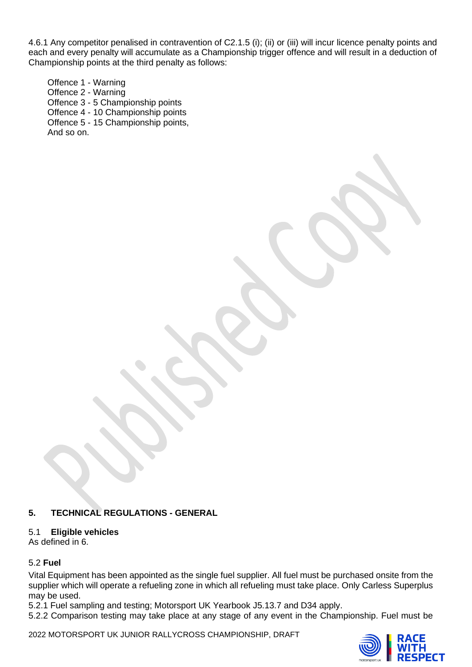4.6.1 Any competitor penalised in contravention of C2.1.5 (i); (ii) or (iii) will incur licence penalty points and each and every penalty will accumulate as a Championship trigger offence and will result in a deduction of Championship points at the third penalty as follows:

Offence 1 - Warning Offence 2 - Warning Offence 3 - 5 Championship points Offence 4 - 10 Championship points Offence 5 - 15 Championship points, And so on.

## **5. TECHNICAL REGULATIONS - GENERAL**

## 5.1 **Eligible vehicles**

As defined in 6.

## 5.2 **Fuel**

Vital Equipment has been appointed as the single fuel supplier. All fuel must be purchased onsite from the supplier which will operate a refueling zone in which all refueling must take place. Only Carless Superplus may be used.

5.2.1 Fuel sampling and testing; Motorsport UK Yearbook J5.13.7 and D34 apply.

5.2.2 Comparison testing may take place at any stage of any event in the Championship. Fuel must be

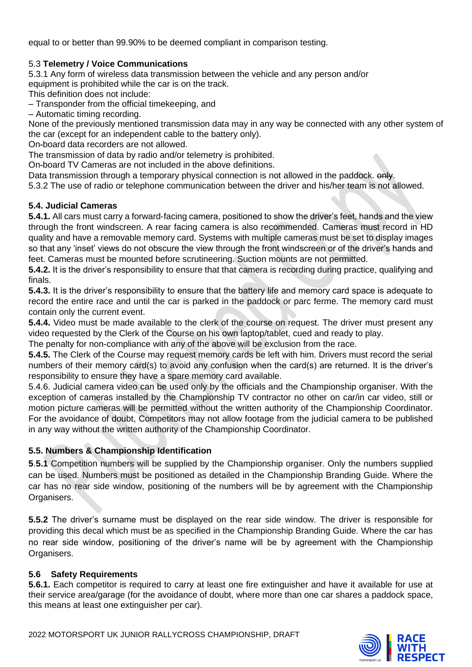equal to or better than 99.90% to be deemed compliant in comparison testing.

## 5.3 **Telemetry / Voice Communications**

5.3.1 Any form of wireless data transmission between the vehicle and any person and/or equipment is prohibited while the car is on the track.

This definition does not include:

– Transponder from the official timekeeping, and

– Automatic timing recording.

None of the previously mentioned transmission data may in any way be connected with any other system of the car (except for an independent cable to the battery only).

On**‐**board data recorders are not allowed.

The transmission of data by radio and/or telemetry is prohibited.

On**‐**board TV Cameras are not included in the above definitions.

Data transmission through a temporary physical connection is not allowed in the paddock.  $\theta$ -

5.3.2 The use of radio or telephone communication between the driver and his/her team is not allowed.

## **5.4. Judicial Cameras**

**5.4.1.** All cars must carry a forward-facing camera, positioned to show the driver's feet, hands and the view through the front windscreen. A rear facing camera is also recommended. Cameras must record in HD quality and have a removable memory card. Systems with multiple cameras must be set to display images so that any 'inset' views do not obscure the view through the front windscreen or of the driver's hands and feet. Cameras must be mounted before scrutineering. Suction mounts are not permitted.

**5.4.2.** It is the driver's responsibility to ensure that that camera is recording during practice, qualifying and finals.

**5.4.3.** It is the driver's responsibility to ensure that the battery life and memory card space is adequate to record the entire race and until the car is parked in the paddock or parc ferme. The memory card must contain only the current event.

**5.4.4.** Video must be made available to the clerk of the course on request. The driver must present any video requested by the Clerk of the Course on his own laptop/tablet, cued and ready to play.

The penalty for non-compliance with any of the above will be exclusion from the race.

**5.4.5.** The Clerk of the Course may request memory cards be left with him. Drivers must record the serial numbers of their memory card(s) to avoid any confusion when the card(s) are returned. It is the driver's responsibility to ensure they have a spare memory card available.

5.4.6. Judicial camera video can be used only by the officials and the Championship organiser. With the exception of cameras installed by the Championship TV contractor no other on car/in car video, still or motion picture cameras will be permitted without the written authority of the Championship Coordinator. For the avoidance of doubt, Competitors may not allow footage from the judicial camera to be published in any way without the written authority of the Championship Coordinator.

## **5.5. Numbers & Championship Identification**

**5**.**5.1** Competition numbers will be supplied by the Championship organiser. Only the numbers supplied can be used. Numbers must be positioned as detailed in the Championship Branding Guide. Where the car has no rear side window, positioning of the numbers will be by agreement with the Championship Organisers.

**5.5.2** The driver's surname must be displayed on the rear side window. The driver is responsible for providing this decal which must be as specified in the Championship Branding Guide. Where the car has no rear side window, positioning of the driver's name will be by agreement with the Championship Organisers.

## **5.6 Safety Requirements**

**5.6.1.** Each competitor is required to carry at least one fire extinguisher and have it available for use at their service area/garage (for the avoidance of doubt, where more than one car shares a paddock space, this means at least one extinguisher per car).

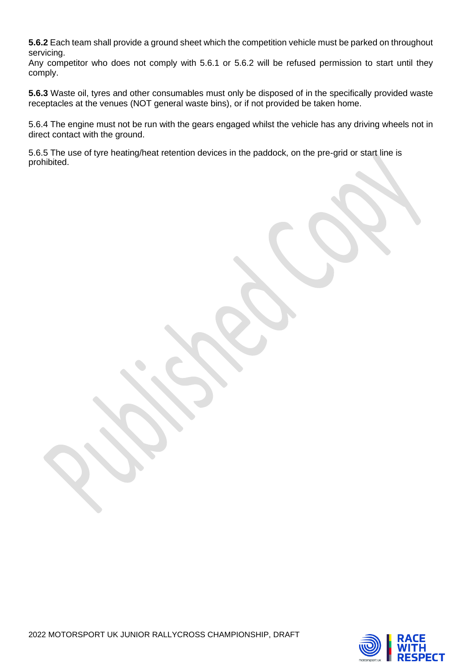**5.6.2** Each team shall provide a ground sheet which the competition vehicle must be parked on throughout servicing.

Any competitor who does not comply with 5.6.1 or 5.6.2 will be refused permission to start until they comply.

**5.6.3** Waste oil, tyres and other consumables must only be disposed of in the specifically provided waste receptacles at the venues (NOT general waste bins), or if not provided be taken home.

5.6.4 The engine must not be run with the gears engaged whilst the vehicle has any driving wheels not in direct contact with the ground.

5.6.5 The use of tyre heating/heat retention devices in the paddock, on the pre-grid or start line is prohibited.

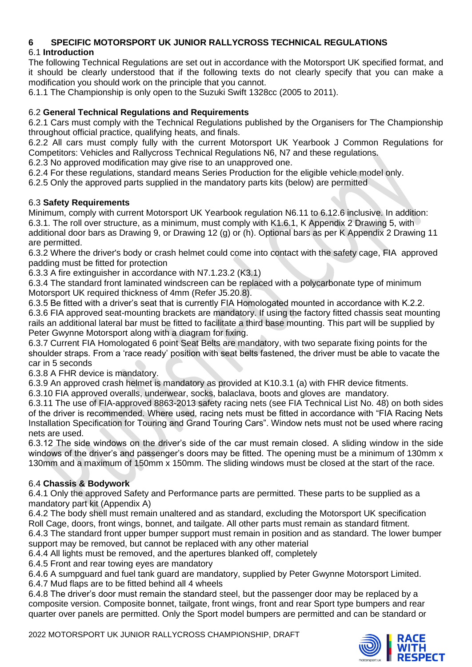## **6 SPECIFIC MOTORSPORT UK JUNIOR RALLYCROSS TECHNICAL REGULATIONS**

## 6.1 **Introduction**

The following Technical Regulations are set out in accordance with the Motorsport UK specified format, and it should be clearly understood that if the following texts do not clearly specify that you can make a modification you should work on the principle that you cannot.

6.1.1 The Championship is only open to the Suzuki Swift 1328cc (2005 to 2011).

## 6.2 **General Technical Regulations and Requirements**

6.2.1 Cars must comply with the Technical Regulations published by the Organisers for The Championship throughout official practice, qualifying heats, and finals.

6.2.2 All cars must comply fully with the current Motorsport UK Yearbook J Common Regulations for Competitors: Vehicles and Rallycross Technical Regulations N6, N7 and these regulations.

6.2.3 No approved modification may give rise to an unapproved one.

6.2.4 For these regulations, standard means Series Production for the eligible vehicle model only.

6.2.5 Only the approved parts supplied in the mandatory parts kits (below) are permitted

## 6.3 **Safety Requirements**

Minimum, comply with current Motorsport UK Yearbook regulation N6.11 to 6.12.6 inclusive. In addition: 6.3.1. The roll over structure, as a minimum, must comply with K1.6.1, K Appendix 2 Drawing 5, with additional door bars as Drawing 9, or Drawing 12 (g) or (h). Optional bars as per K Appendix 2 Drawing 11 are permitted.

6.3.2 Where the driver's body or crash helmet could come into contact with the safety cage, FIA approved padding must be fitted for protection

6.3.3 A fire extinguisher in accordance with N7.1.23.2 (K3.1)

6.3.4 The standard front laminated windscreen can be replaced with a polycarbonate type of minimum Motorsport UK required thickness of 4mm (Refer J5.20.8).

6.3.5 Be fitted with a driver's seat that is currently FIA Homologated mounted in accordance with K.2.2. 6.3.6 FIA approved seat-mounting brackets are mandatory. If using the factory fitted chassis seat mounting rails an additional lateral bar must be fitted to facilitate a third base mounting. This part will be supplied by Peter Gwynne Motorsport along with a diagram for fixing.

6.3.7 Current FIA Homologated 6 point Seat Belts are mandatory, with two separate fixing points for the shoulder straps. From a 'race ready' position with seat belts fastened, the driver must be able to vacate the car in 5 seconds

6.3.8 A FHR device is mandatory.

6.3.9 An approved crash helmet is mandatory as provided at K10.3.1 (a) with FHR device fitments.

6.3.10 FIA approved overalls, underwear, socks, balaclava, boots and gloves are mandatory.

6.3.11 The use of FIA-approved 8863-2013 safety racing nets (see FIA Technical List No. 48) on both sides of the driver is recommended. Where used, racing nets must be fitted in accordance with "FIA Racing Nets Installation Specification for Touring and Grand Touring Cars". Window nets must not be used where racing nets are used.

6.3.12 The side windows on the driver's side of the car must remain closed. A sliding window in the side windows of the driver's and passenger's doors may be fitted. The opening must be a minimum of 130mm x 130mm and a maximum of 150mm x 150mm. The sliding windows must be closed at the start of the race.

## 6.4 **Chassis & Bodywork**

6.4.1 Only the approved Safety and Performance parts are permitted. These parts to be supplied as a mandatory part kit (Appendix A)

6.4.2 The body shell must remain unaltered and as standard, excluding the Motorsport UK specification Roll Cage, doors, front wings, bonnet, and tailgate. All other parts must remain as standard fitment.

6.4.3 The standard front upper bumper support must remain in position and as standard. The lower bumper support may be removed, but cannot be replaced with any other material

6.4.4 All lights must be removed, and the apertures blanked off, completely

6.4.5 Front and rear towing eyes are mandatory

6.4.6 A sumpguard and fuel tank guard are mandatory, supplied by Peter Gwynne Motorsport Limited. 6.4.7 Mud flaps are to be fitted behind all 4 wheels

6.4.8 The driver's door must remain the standard steel, but the passenger door may be replaced by a composite version. Composite bonnet, tailgate, front wings, front and rear Sport type bumpers and rear quarter over panels are permitted. Only the Sport model bumpers are permitted and can be standard or

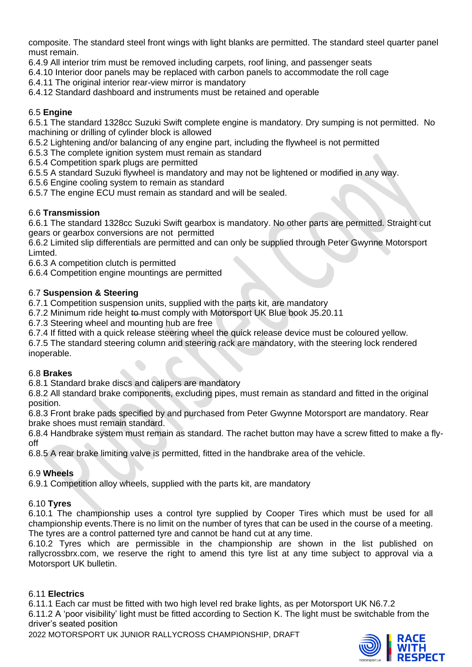composite. The standard steel front wings with light blanks are permitted. The standard steel quarter panel must remain.

6.4.9 All interior trim must be removed including carpets, roof lining, and passenger seats

6.4.10 Interior door panels may be replaced with carbon panels to accommodate the roll cage

6.4.11 The original interior rear-view mirror is mandatory

6.4.12 Standard dashboard and instruments must be retained and operable

## 6.5 **Engine**

6.5.1 The standard 1328cc Suzuki Swift complete engine is mandatory. Dry sumping is not permitted. No machining or drilling of cylinder block is allowed

6.5.2 Lightening and/or balancing of any engine part, including the flywheel is not permitted

6.5.3 The complete ignition system must remain as standard

6.5.4 Competition spark plugs are permitted

6.5.5 A standard Suzuki flywheel is mandatory and may not be lightened or modified in any way.

6.5.6 Engine cooling system to remain as standard

6.5.7 The engine ECU must remain as standard and will be sealed.

## 6.6 **Transmission**

6.6.1 The standard 1328cc Suzuki Swift gearbox is mandatory. No other parts are permitted. Straight cut gears or gearbox conversions are not permitted

6.6.2 Limited slip differentials are permitted and can only be supplied through Peter Gwynne Motorsport Limted.

6.6.3 A competition clutch is permitted

6.6.4 Competition engine mountings are permitted

## 6.7 **Suspension & Steering**

6.7.1 Competition suspension units, supplied with the parts kit, are mandatory

6.7.2 Minimum ride height to must comply with Motorsport UK Blue book J5.20.11

6.7.3 Steering wheel and mounting hub are free

6.7.4 If fitted with a quick release steering wheel the quick release device must be coloured yellow.

6.7.5 The standard steering column and steering rack are mandatory, with the steering lock rendered inoperable.

## 6.8 **Brakes**

6.8.1 Standard brake discs and calipers are mandatory

6.8.2 All standard brake components, excluding pipes, must remain as standard and fitted in the original position.

6.8.3 Front brake pads specified by and purchased from Peter Gwynne Motorsport are mandatory. Rear brake shoes must remain standard.

6.8.4 Handbrake system must remain as standard. The rachet button may have a screw fitted to make a flyoff

6.8.5 A rear brake limiting valve is permitted, fitted in the handbrake area of the vehicle.

## 6.9 **Wheels**

6.9.1 Competition alloy wheels, supplied with the parts kit, are mandatory

## 6.10 **Tyres**

6.10.1 The championship uses a control tyre supplied by Cooper Tires which must be used for all championship events.There is no limit on the number of tyres that can be used in the course of a meeting. The tyres are a control patterned tyre and cannot be hand cut at any time.

6.10.2 Tyres which are permissible in the championship are shown in the list published on rallycrossbrx.com, we reserve the right to amend this tyre list at any time subject to approval via a Motorsport UK bulletin.

## 6.11 **Electrics**

6.11.1 Each car must be fitted with two high level red brake lights, as per Motorsport UK N6.7.2

6.11.2 A 'poor visibility' light must be fitted according to Section K. The light must be switchable from the driver's seated position

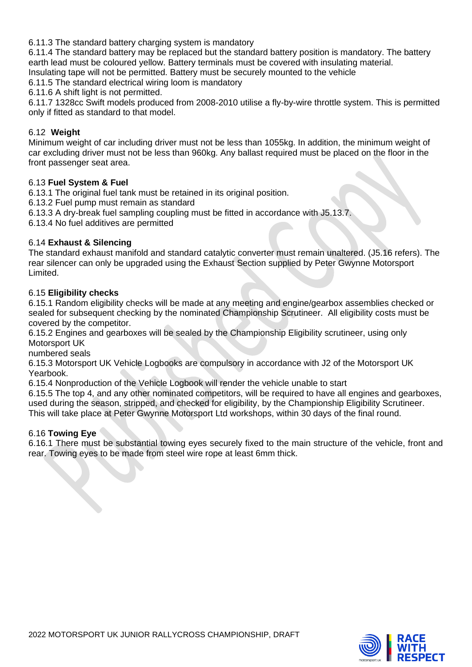6.11.3 The standard battery charging system is mandatory

6.11.4 The standard battery may be replaced but the standard battery position is mandatory. The battery earth lead must be coloured yellow. Battery terminals must be covered with insulating material.

Insulating tape will not be permitted. Battery must be securely mounted to the vehicle

6.11.5 The standard electrical wiring loom is mandatory

6.11.6 A shift light is not permitted.

6.11.7 1328cc Swift models produced from 2008-2010 utilise a fly-by-wire throttle system. This is permitted only if fitted as standard to that model.

## 6.12 **Weight**

Minimum weight of car including driver must not be less than 1055kg. In addition, the minimum weight of car excluding driver must not be less than 960kg. Any ballast required must be placed on the floor in the front passenger seat area.

#### 6.13 **Fuel System & Fuel**

6.13.1 The original fuel tank must be retained in its original position.

6.13.2 Fuel pump must remain as standard

6.13.3 A dry-break fuel sampling coupling must be fitted in accordance with J5.13.7.

6.13.4 No fuel additives are permitted

#### 6.14 **Exhaust & Silencing**

The standard exhaust manifold and standard catalytic converter must remain unaltered. (J5.16 refers). The rear silencer can only be upgraded using the Exhaust Section supplied by Peter Gwynne Motorsport Limited.

#### 6.15 **Eligibility checks**

6.15.1 Random eligibility checks will be made at any meeting and engine/gearbox assemblies checked or sealed for subsequent checking by the nominated Championship Scrutineer. All eligibility costs must be covered by the competitor.

6.15.2 Engines and gearboxes will be sealed by the Championship Eligibility scrutineer, using only Motorsport UK

numbered seals

6.15.3 Motorsport UK Vehicle Logbooks are compulsory in accordance with J2 of the Motorsport UK Yearbook.

6.15.4 Nonproduction of the Vehicle Logbook will render the vehicle unable to start

6.15.5 The top 4, and any other nominated competitors, will be required to have all engines and gearboxes, used during the season, stripped, and checked for eligibility, by the Championship Eligibility Scrutineer. This will take place at Peter Gwynne Motorsport Ltd workshops, within 30 days of the final round.

#### 6.16 **Towing Eye**

6.16.1 There must be substantial towing eyes securely fixed to the main structure of the vehicle, front and rear. Towing eyes to be made from steel wire rope at least 6mm thick.

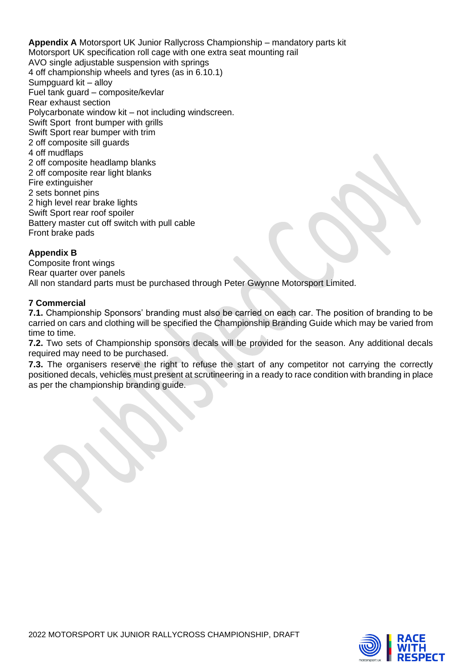**Appendix A** Motorsport UK Junior Rallycross Championship – mandatory parts kit Motorsport UK specification roll cage with one extra seat mounting rail AVO single adjustable suspension with springs 4 off championship wheels and tyres (as in 6.10.1) Sumpguard kit – alloy Fuel tank guard – composite/kevlar Rear exhaust section Polycarbonate window kit – not including windscreen. Swift Sport front bumper with grills Swift Sport rear bumper with trim 2 off composite sill guards 4 off mudflaps 2 off composite headlamp blanks 2 off composite rear light blanks Fire extinguisher 2 sets bonnet pins 2 high level rear brake lights Swift Sport rear roof spoiler Battery master cut off switch with pull cable Front brake pads

## **Appendix B**

Composite front wings Rear quarter over panels All non standard parts must be purchased through Peter Gwynne Motorsport Limited.

## **7 Commercial**

**7.1.** Championship Sponsors' branding must also be carried on each car. The position of branding to be carried on cars and clothing will be specified the Championship Branding Guide which may be varied from time to time.

**7.2.** Two sets of Championship sponsors decals will be provided for the season. Any additional decals required may need to be purchased.

**7.3.** The organisers reserve the right to refuse the start of any competitor not carrying the correctly positioned decals, vehicles must present at scrutineering in a ready to race condition with branding in place as per the championship branding guide.